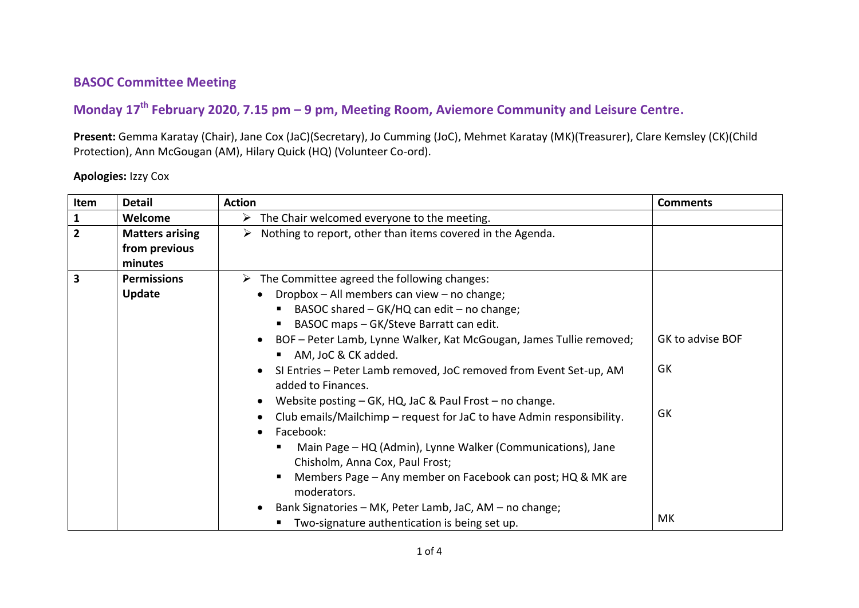## **BASOC Committee Meeting**

## **Monday 17 th February 2020, 7.15 pm – 9 pm, Meeting Room, Aviemore Community and Leisure Centre.**

**Present:** Gemma Karatay (Chair), Jane Cox (JaC)(Secretary), Jo Cumming (JoC), Mehmet Karatay (MK)(Treasurer), Clare Kemsley (CK)(Child Protection), Ann McGougan (AM), Hilary Quick (HQ) (Volunteer Co-ord).

## **Apologies:** Izzy Cox

| Item           | <b>Detail</b>                                      | <b>Action</b>                                                                                                                                                                                                                                                                                                                                                                                                                                                                                                                                                                                                                                                                                                                                                               | <b>Comments</b>                    |
|----------------|----------------------------------------------------|-----------------------------------------------------------------------------------------------------------------------------------------------------------------------------------------------------------------------------------------------------------------------------------------------------------------------------------------------------------------------------------------------------------------------------------------------------------------------------------------------------------------------------------------------------------------------------------------------------------------------------------------------------------------------------------------------------------------------------------------------------------------------------|------------------------------------|
| $\mathbf{1}$   | Welcome                                            | $\triangleright$ The Chair welcomed everyone to the meeting.                                                                                                                                                                                                                                                                                                                                                                                                                                                                                                                                                                                                                                                                                                                |                                    |
| $\overline{2}$ | <b>Matters arising</b><br>from previous<br>minutes | $\triangleright$ Nothing to report, other than items covered in the Agenda.                                                                                                                                                                                                                                                                                                                                                                                                                                                                                                                                                                                                                                                                                                 |                                    |
| 3              | <b>Permissions</b>                                 | $\triangleright$ The Committee agreed the following changes:                                                                                                                                                                                                                                                                                                                                                                                                                                                                                                                                                                                                                                                                                                                |                                    |
|                | <b>Update</b>                                      | Dropbox - All members can view - no change;<br>BASOC shared - GK/HQ can edit - no change;<br>BASOC maps - GK/Steve Barratt can edit.<br>BOF - Peter Lamb, Lynne Walker, Kat McGougan, James Tullie removed;<br>AM, JoC & CK added.<br>SI Entries - Peter Lamb removed, JoC removed from Event Set-up, AM<br>added to Finances.<br>Website posting – GK, HQ, JaC & Paul Frost – no change.<br>Club emails/Mailchimp - request for JaC to have Admin responsibility.<br>Facebook:<br>Main Page - HQ (Admin), Lynne Walker (Communications), Jane<br>Chisholm, Anna Cox, Paul Frost;<br>Members Page - Any member on Facebook can post; HQ & MK are<br>moderators.<br>Bank Signatories - MK, Peter Lamb, JaC, AM - no change;<br>Two-signature authentication is being set up. | GK to advise BOF<br>GK<br>GK<br>МK |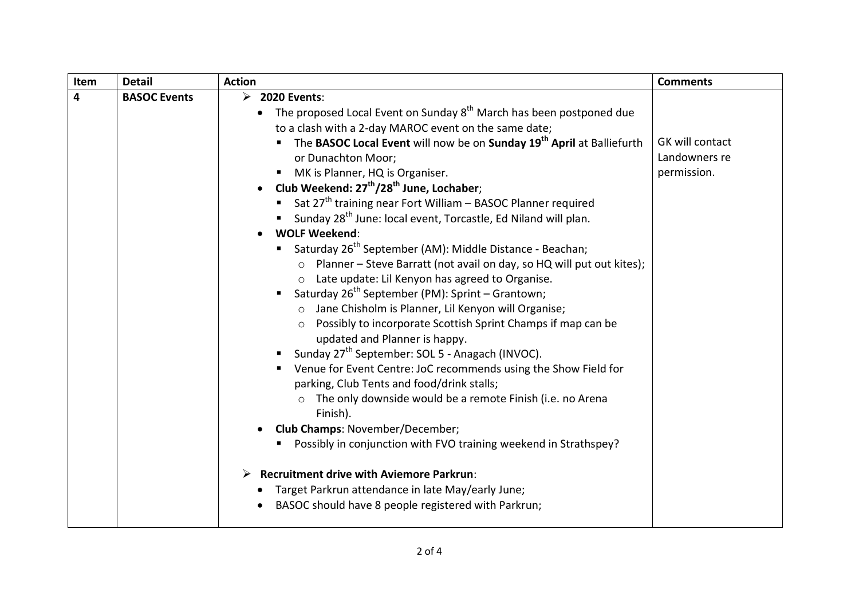| Item | <b>Detail</b>       | <b>Action</b>                                                                                                                                                                                                                                                                                                                                                                                                                                                                                                                                                                                                                                                                                                                                                                                                                                                                                                                                                                                                                                                                                                                                                                                                                                                                                                                                                                                                                                                                                                                                                     | <b>Comments</b>                                 |
|------|---------------------|-------------------------------------------------------------------------------------------------------------------------------------------------------------------------------------------------------------------------------------------------------------------------------------------------------------------------------------------------------------------------------------------------------------------------------------------------------------------------------------------------------------------------------------------------------------------------------------------------------------------------------------------------------------------------------------------------------------------------------------------------------------------------------------------------------------------------------------------------------------------------------------------------------------------------------------------------------------------------------------------------------------------------------------------------------------------------------------------------------------------------------------------------------------------------------------------------------------------------------------------------------------------------------------------------------------------------------------------------------------------------------------------------------------------------------------------------------------------------------------------------------------------------------------------------------------------|-------------------------------------------------|
| 4    | <b>BASOC Events</b> | $\triangleright$ 2020 Events:<br>• The proposed Local Event on Sunday $8^{th}$ March has been postponed due<br>to a clash with a 2-day MAROC event on the same date;<br>The BASOC Local Event will now be on Sunday 19 <sup>th</sup> April at Balliefurth<br>or Dunachton Moor;<br>MK is Planner, HQ is Organiser.<br>Club Weekend: 27 <sup>th</sup> /28 <sup>th</sup> June, Lochaber;<br>Sat $27th$ training near Fort William – BASOC Planner required<br>■ Sunday 28 <sup>th</sup> June: local event, Torcastle, Ed Niland will plan.<br><b>WOLF Weekend:</b><br>Saturday 26 <sup>th</sup> September (AM): Middle Distance - Beachan;<br>Planner - Steve Barratt (not avail on day, so HQ will put out kites);<br>$\circ$<br>Late update: Lil Kenyon has agreed to Organise.<br>$\circ$<br>Saturday 26 <sup>th</sup> September (PM): Sprint – Grantown;<br>Jane Chisholm is Planner, Lil Kenyon will Organise;<br>Possibly to incorporate Scottish Sprint Champs if map can be<br>$\circ$<br>updated and Planner is happy.<br>Sunday 27 <sup>th</sup> September: SOL 5 - Anagach (INVOC).<br>Venue for Event Centre: JoC recommends using the Show Field for<br>parking, Club Tents and food/drink stalls;<br>The only downside would be a remote Finish (i.e. no Arena<br>Finish).<br>Club Champs: November/December;<br>Possibly in conjunction with FVO training weekend in Strathspey?<br><b>Recruitment drive with Aviemore Parkrun:</b><br>➤<br>Target Parkrun attendance in late May/early June;<br>BASOC should have 8 people registered with Parkrun; | GK will contact<br>Landowners re<br>permission. |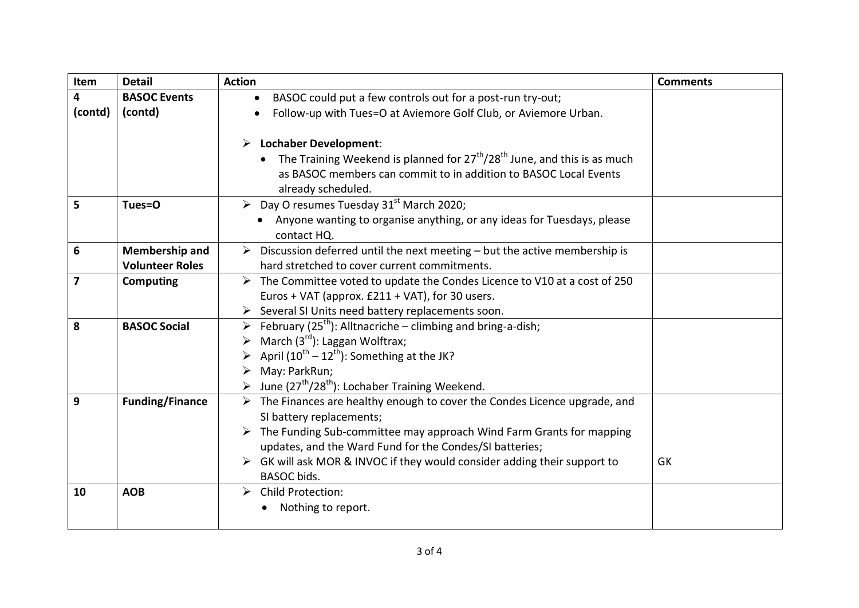| Item    | <b>Detail</b>          | <b>Action</b>                                                                                                 | <b>Comments</b> |
|---------|------------------------|---------------------------------------------------------------------------------------------------------------|-----------------|
| 4       | <b>BASOC Events</b>    | BASOC could put a few controls out for a post-run try-out;                                                    |                 |
| (contd) | (contd)                | Follow-up with Tues=O at Aviemore Golf Club, or Aviemore Urban.                                               |                 |
|         |                        |                                                                                                               |                 |
|         |                        | $\triangleright$ Lochaber Development:                                                                        |                 |
|         |                        | The Training Weekend is planned for $27th/28th$ June, and this is as much                                     |                 |
|         |                        | as BASOC members can commit to in addition to BASOC Local Events                                              |                 |
|         |                        | already scheduled.                                                                                            |                 |
| 5       | Tues=O                 | $\triangleright$ Day O resumes Tuesday 31 <sup>st</sup> March 2020;                                           |                 |
|         |                        | Anyone wanting to organise anything, or any ideas for Tuesdays, please                                        |                 |
|         |                        | contact HQ.                                                                                                   |                 |
| 6       | <b>Membership and</b>  | $\triangleright$ Discussion deferred until the next meeting – but the active membership is                    |                 |
|         | <b>Volunteer Roles</b> | hard stretched to cover current commitments.                                                                  |                 |
| 7       | <b>Computing</b>       | $\triangleright$ The Committee voted to update the Condes Licence to V10 at a cost of 250                     |                 |
|         |                        | Euros + VAT (approx. £211 + VAT), for 30 users.                                                               |                 |
|         |                        | Several SI Units need battery replacements soon.                                                              |                 |
| 8       | <b>BASOC Social</b>    | Eebruary (25 <sup>th</sup> ): Alltnacriche – climbing and bring-a-dish;                                       |                 |
|         |                        | March $(3^{rd})$ : Laggan Wolftrax;                                                                           |                 |
|         |                        | April $(10^{th} - 12^{th})$ : Something at the JK?                                                            |                 |
|         |                        | May: ParkRun;                                                                                                 |                 |
|         |                        | June (27 <sup>th</sup> /28 <sup>th</sup> ): Lochaber Training Weekend.                                        |                 |
| 9       | <b>Funding/Finance</b> | $\triangleright$ The Finances are healthy enough to cover the Condes Licence upgrade, and                     |                 |
|         |                        | SI battery replacements;                                                                                      |                 |
|         |                        | $\triangleright$ The Funding Sub-committee may approach Wind Farm Grants for mapping                          |                 |
|         |                        | updates, and the Ward Fund for the Condes/SI batteries;                                                       |                 |
|         |                        | $\triangleright$ GK will ask MOR & INVOC if they would consider adding their support to<br><b>BASOC</b> bids. | GK              |
| 10      | <b>AOB</b>             | $\triangleright$ Child Protection:                                                                            |                 |
|         |                        | Nothing to report.                                                                                            |                 |
|         |                        |                                                                                                               |                 |